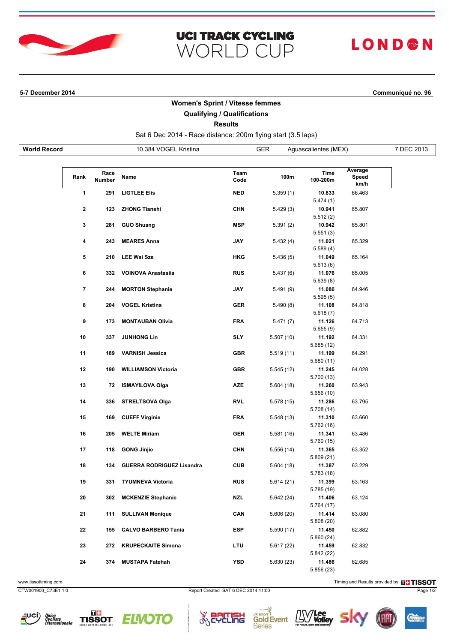

| <b>UCI TRACK CYCLING</b> |  |  |
|--------------------------|--|--|
| WORLD CUP                |  |  |

# **LOND®N**

**5-7 December 2014 Communiqué no. 96**

### **Women's Sprint / Vitesse femmes**

### **Qualifying / Qualifications**

**Results**

Sat 6 Dec 2014 - Race distance: 200m flying start (3.5 laps)

**World Record** 10.384 VOGEL Kristina GER Aguascalientes (MEX) 7 DEC 2013

| Rank         | Race<br><b>Number</b> | Name                             | Team<br>Code | 100m       | Time<br>100-200m   | Average<br>Speed<br>km/h |
|--------------|-----------------------|----------------------------------|--------------|------------|--------------------|--------------------------|
| 1            | 291                   | <b>LIGTLEE Elis</b>              | <b>NED</b>   | 5.359(1)   | 10.833             | 66.463                   |
|              |                       |                                  |              |            | 5.474(1)           |                          |
| $\mathbf{2}$ | 123                   | <b>ZHONG Tianshi</b>             | <b>CHN</b>   | 5.429(3)   | 10.941             | 65.807                   |
|              |                       |                                  |              |            | 5.512(2)           |                          |
| 3            | 281                   | <b>GUO Shuang</b>                | <b>MSP</b>   | 5.391(2)   | 10.942             | 65.801                   |
|              |                       |                                  |              |            | 5.551(3)           |                          |
| 4            | 243                   | <b>MEARES Anna</b>               | <b>JAY</b>   | 5.432(4)   | 11.021             | 65.329                   |
|              |                       |                                  |              |            | 5.589(4)           |                          |
| 5            | 210                   | <b>LEE Wai Sze</b>               | <b>HKG</b>   | 5.436(5)   | 11.049             | 65.164                   |
|              |                       |                                  |              |            | 5.613(6)           |                          |
| 6            | 332                   | <b>VOINOVA Anastasiia</b>        | <b>RUS</b>   | 5.437(6)   | 11.076             | 65.005                   |
|              |                       |                                  |              |            | 5.639(8)           |                          |
| 7            | 244                   | <b>MORTON Stephanie</b>          | <b>JAY</b>   | 5.491(9)   | 11.086             | 64.946                   |
| 8            | 204                   | <b>VOGEL Kristina</b>            | <b>GER</b>   |            | 5.595(5)           |                          |
|              |                       |                                  |              | 5.490(8)   | 11.108             | 64.818                   |
| 9            | 173                   | <b>MONTAUBAN Olivia</b>          | <b>FRA</b>   |            | 5.618(7)<br>11.126 |                          |
|              |                       |                                  |              | 5.471(7)   | 5.655(9)           | 64.713                   |
| 10           | 337                   | <b>JUNHONG Lin</b>               | <b>SLY</b>   | 5.507(10)  | 11.192             | 64.331                   |
|              |                       |                                  |              |            | 5.685 (12)         |                          |
| 11           | 189                   | <b>VARNISH Jessica</b>           | <b>GBR</b>   | 5.519(11)  | 11.199             | 64.291                   |
|              |                       |                                  |              |            | 5.680(11)          |                          |
| 12           | 190                   | <b>WILLIAMSON Victoria</b>       | <b>GBR</b>   | 5.545(12)  | 11.245             | 64.028                   |
|              |                       |                                  |              |            | 5.700 (13)         |                          |
| 13           | 72                    | <b>ISMAYILOVA Olga</b>           | <b>AZE</b>   | 5.604(18)  | 11.260             | 63.943                   |
|              |                       |                                  |              |            | 5.656 (10)         |                          |
| 14           | 336                   | <b>STRELTSOVA Olga</b>           | <b>RVL</b>   | 5.578(15)  | 11.286             | 63.795                   |
|              |                       |                                  |              |            | 5.708 (14)         |                          |
| 15           | 169                   | <b>CUEFF Virginie</b>            | <b>FRA</b>   | 5.548(13)  | 11.310             | 63.660                   |
|              |                       |                                  |              |            | 5.762 (16)         |                          |
| 16           | 205                   | <b>WELTE Miriam</b>              | <b>GER</b>   | 5.581(16)  | 11.341             | 63.486                   |
|              |                       |                                  |              |            | 5.760 (15)         |                          |
| 17           | 118                   | <b>GONG Jinjie</b>               | <b>CHN</b>   | 5.556(14)  | 11.365             | 63.352                   |
|              |                       |                                  |              |            | 5.809 (21)         |                          |
| 18           | 134                   | <b>GUERRA RODRIGUEZ Lisandra</b> | <b>CUB</b>   | 5.604(18)  | 11.387             | 63.229                   |
|              |                       |                                  |              |            | 5.783 (18)         |                          |
| 19           | 331                   | <b>TYUMNEVA Victoria</b>         | <b>RUS</b>   | 5.614(21)  | 11.399             | 63.163                   |
|              |                       |                                  |              |            | 5.785 (19)         |                          |
| 20           |                       | 302 MCKENZIE Stephanie           | <b>NZL</b>   | 5.642(24)  | 11.406             | 63.124                   |
|              |                       |                                  |              |            | 5.764 (17)         |                          |
| 21           | 111                   | <b>SULLIVAN Monique</b>          | CAN          | 5.606(20)  | 11.414             | 63.080                   |
|              |                       |                                  |              |            | 5.808 (20)         |                          |
| 22           | 155                   | <b>CALVO BARBERO Tania</b>       | <b>ESP</b>   | 5.590(17)  | 11.450             | 62.882                   |
|              |                       |                                  |              |            | 5.860 (24)         |                          |
| 23           | 272                   | <b>KRUPECKAITE Simona</b>        | LTU          | 5.617 (22) | 11.459             | 62.832                   |
|              |                       |                                  |              |            | 5.842 (22)         |                          |
| 24           | 374                   | <b>MUSTAPA Fatehah</b>           | <b>YSD</b>   | 5.630(23)  | 11.486             | 62.685                   |
|              |                       |                                  |              |            | 5.856 (23)         |                          |

CTW001900\_C73E1 1.0 Page 1/2









 $\mathbb{I}\mathbb{W}$  Lee Valley

www.tissottiming.com **Timing and Results provided by FINSOT**